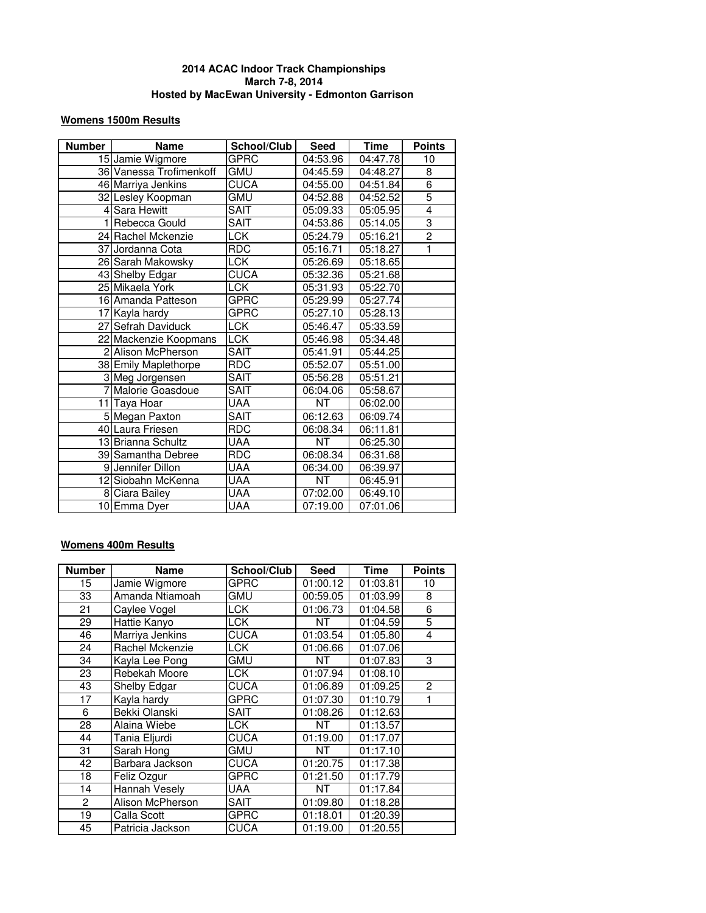#### **Womens 1500m Results**

| <b>Number</b>  | <b>Name</b>             | School/Club | <b>Seed</b> | <b>Time</b> | <b>Points</b>  |
|----------------|-------------------------|-------------|-------------|-------------|----------------|
|                | 15 Jamie Wigmore        | GPRC        | 04:53.96    | 04:47.78    | 10             |
|                | 36 Vanessa Trofimenkoff | <b>GMU</b>  | 04:45.59    | 04:48.27    | 8              |
|                | 46 Marriya Jenkins      | <b>CUCA</b> | 04:55.00    | 04:51.84    | $\overline{6}$ |
|                | 32 Lesley Koopman       | <b>GMU</b>  | 04:52.88    | 04:52.52    | $\overline{5}$ |
|                | 4 Sara Hewitt           | <b>SAIT</b> | 05:09.33    | 05:05.95    | $\overline{4}$ |
| 1 <sup>1</sup> | Rebecca Gould           | <b>SAIT</b> | 04:53.86    | 05:14.05    | $\overline{3}$ |
|                | 24 Rachel Mckenzie      | <b>LCK</b>  | 05:24.79    | 05:16.21    | $\overline{2}$ |
|                | 37 Jordanna Cota        | <b>RDC</b>  | 05:16.71    | 05:18.27    | 1              |
|                | 26 Sarah Makowsky       | <b>LCK</b>  | 05:26.69    | 05:18.65    |                |
|                | 43 Shelby Edgar         | CUCA        | 05:32.36    | 05:21.68    |                |
|                | 25 Mikaela York         | <b>TCK</b>  | 05:31.93    | 05:22.70    |                |
|                | 16 Amanda Patteson      | <b>GPRC</b> | 05:29.99    | 05:27.74    |                |
|                | 17 Kayla hardy          | <b>GPRC</b> | 05:27.10    | 05:28.13    |                |
|                | 27 Sefrah Daviduck      | <b>LCK</b>  | 05:46.47    | 05:33.59    |                |
|                | 22 Mackenzie Koopmans   | <b>TCK</b>  | 05:46.98    | 05:34.48    |                |
|                | 2 Alison McPherson      | <b>SAIT</b> | 05:41.91    | 05:44.25    |                |
|                | 38 Emily Maplethorpe    | <b>RDC</b>  | 05:52.07    | 05:51.00    |                |
|                | 3 Meg Jorgensen         | <b>SAIT</b> | 05:56.28    | 05:51.21    |                |
|                | 7 Malorie Goasdoue      | SAIT        | 06:04.06    | 05:58.67    |                |
|                | 11 Taya Hoar            | UAA         | <b>NT</b>   | 06:02.00    |                |
|                | 5 Megan Paxton          | <b>SAIT</b> | 06:12.63    | 06:09.74    |                |
|                | 40 Laura Friesen        | <b>RDC</b>  | 06:08.34    | 06:11.81    |                |
|                | 13 Brianna Schultz      | UAA         | <b>NT</b>   | 06:25.30    |                |
|                | 39 Samantha Debree      | <b>RDC</b>  | 06:08.34    | 06:31.68    |                |
|                | 9 Jennifer Dillon       | <b>UAA</b>  | 06:34.00    | 06:39.97    |                |
|                | 12 Siobahn McKenna      | UAA         | <b>NT</b>   | 06:45.91    |                |
|                | 8 Ciara Bailey          | <b>UAA</b>  | 07:02.00    | 06:49.10    |                |
|                | 10 Emma Dyer            | <b>UAA</b>  | 07:19.00    | 07:01.06    |                |

## **Womens 400m Results**

| <b>Number</b>   | <b>Name</b>      | School/Club | Seed     | Time     | <b>Points</b>  |
|-----------------|------------------|-------------|----------|----------|----------------|
| 15              | Jamie Wigmore    | GPRC        | 01:00.12 | 01:03.81 | 10             |
| 33              | Amanda Ntiamoah  | GMU         | 00:59.05 | 01:03.99 | 8              |
| 21              | Caylee Vogel     | LCK.        | 01:06.73 | 01:04.58 | 6              |
| 29              | Hattie Kanyo     | LCK         | NT       | 01:04.59 | 5              |
| 46              | Marriya Jenkins  | <b>CUCA</b> | 01:03.54 | 01:05.80 | 4              |
| 24              | Rachel Mckenzie  | <b>LCK</b>  | 01:06.66 | 01:07.06 |                |
| 34              | Kayla Lee Pong   | GMU         | NT       | 01:07.83 | 3              |
| 23              | Rebekah Moore    | LCK.        | 01:07.94 | 01:08.10 |                |
| 43              | Shelby Edgar     | <b>CUCA</b> | 01:06.89 | 01:09.25 | $\overline{2}$ |
| $\overline{17}$ | Kayla hardy      | <b>GPRC</b> | 01:07.30 | 01:10.79 |                |
| 6               | Bekki Olanski    | <b>SAIT</b> | 01:08.26 | 01:12.63 |                |
| 28              | Alaina Wiebe     | LCK.        | NT       | 01:13.57 |                |
| 44              | Tania Eljurdi    | <b>CUCA</b> | 01:19.00 | 01:17.07 |                |
| 31              | Sarah Hong       | gmu         | NT       | 01:17.10 |                |
| 42              | Barbara Jackson  | <b>CUCA</b> | 01:20.75 | 01:17.38 |                |
| 18              | Feliz Ozgur      | <b>GPRC</b> | 01:21.50 | 01:17.79 |                |
| 14              | Hannah Vesely    | UAA         | NT       | 01:17.84 |                |
| $\overline{2}$  | Alison McPherson | <b>SAIT</b> | 01:09.80 | 01:18.28 |                |
| 19              | Calla Scott      | <b>GPRC</b> | 01:18.01 | 01:20.39 |                |
| 45              | Patricia Jackson | <b>CUCA</b> | 01:19.00 | 01:20.55 |                |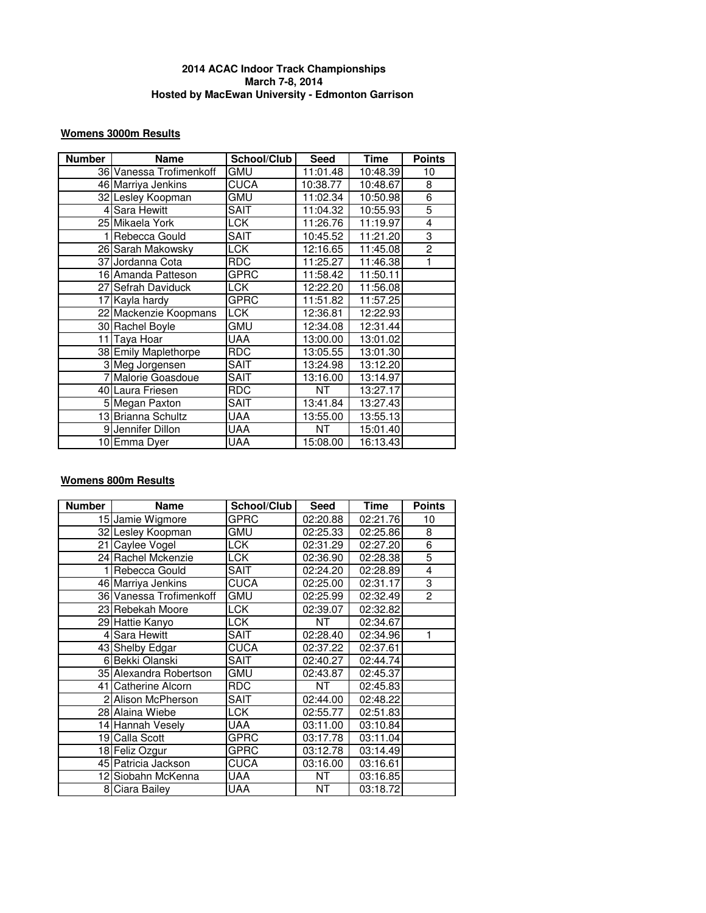## **Womens 3000m Results**

| <b>Number</b> | <b>Name</b>             | School/Club | <b>Seed</b> | Time     | <b>Points</b>  |
|---------------|-------------------------|-------------|-------------|----------|----------------|
|               | 36 Vanessa Trofimenkoff | <b>GMU</b>  | 11:01.48    | 10:48.39 | 10             |
|               | 46 Marriya Jenkins      | CUCA        | 10:38.77    | 10:48.67 | 8              |
|               | 32 Lesley Koopman       | GMU         | 11:02.34    | 10:50.98 | 6              |
|               | 4 Sara Hewitt           | <b>SAIT</b> | 11:04.32    | 10:55.93 | 5              |
|               | 25 Mikaela York         | <b>LCK</b>  | 11:26.76    | 11:19.97 | 4              |
|               | 1 Rebecca Gould         | <b>SAIT</b> | 10:45.52    | 11:21.20 | 3              |
|               | 26 Sarah Makowsky       | LCK         | 12:16.65    | 11:45.08 | $\overline{c}$ |
|               | 37 Jordanna Cota        | <b>RDC</b>  | 11:25.27    | 11:46.38 | 1              |
|               | 16 Amanda Patteson      | <b>GPRC</b> | 11:58.42    | 11:50.11 |                |
|               | 27 Sefrah Daviduck      | LCK         | 12:22.20    | 11:56.08 |                |
|               | 17 Kayla hardy          | <b>GPRC</b> | 11:51.82    | 11:57.25 |                |
|               | 22 Mackenzie Koopmans   | <b>LCK</b>  | 12:36.81    | 12:22.93 |                |
|               | 30 Rachel Boyle         | <b>GMU</b>  | 12:34.08    | 12:31.44 |                |
|               | 11 Taya Hoar            | <b>UAA</b>  | 13:00.00    | 13:01.02 |                |
|               | 38 Emily Maplethorpe    | <b>RDC</b>  | 13:05.55    | 13:01.30 |                |
|               | 3 Meg Jorgensen         | <b>SAIT</b> | 13:24.98    | 13:12.20 |                |
|               | 7 Malorie Goasdoue      | <b>SAIT</b> | 13:16.00    | 13:14.97 |                |
|               | 40 Laura Friesen        | <b>RDC</b>  | NT          | 13:27.17 |                |
|               | 5 Megan Paxton          | <b>SAIT</b> | 13:41.84    | 13:27.43 |                |
|               | 13 Brianna Schultz      | UAA         | 13:55.00    | 13:55.13 |                |
|               | 9 Jennifer Dillon       | <b>UAA</b>  | NT.         | 15:01.40 |                |
|               | 10 Emma Dver            | <b>UAA</b>  | 15:08.00    | 16:13.43 |                |

## **Womens 800m Results**

| <b>Number</b> | <b>Name</b>             | School/Club | <b>Seed</b> | <b>Time</b> | <b>Points</b>  |
|---------------|-------------------------|-------------|-------------|-------------|----------------|
|               | 15 Jamie Wigmore        | GPRC        | 02:20.88    | 02:21.76    | 10             |
|               | 32 Lesley Koopman       | GMU         | 02:25.33    | 02:25.86    | 8              |
|               | 21 Caylee Vogel         | LCK         | 02:31.29    | 02:27.20    | $\overline{6}$ |
|               | 24 Rachel Mckenzie      | LCK.        | 02:36.90    | 02:28.38    | $\overline{5}$ |
|               | 1 Rebecca Gould         | SAIT        | 02:24.20    | 02:28.89    | 4              |
|               | 46 Marriya Jenkins      | <b>CUCA</b> | 02:25.00    | 02:31.17    | 3              |
|               | 36 Vanessa Trofimenkoff | GMU         | 02:25.99    | 02:32.49    | $\overline{2}$ |
|               | 23 Rebekah Moore        | LCK         | 02:39.07    | 02:32.82    |                |
|               | 29 Hattie Kanyo         | LCK.        | NT          | 02:34.67    |                |
|               | 4 Sara Hewitt           | <b>SAIT</b> | 02:28.40    | 02:34.96    | 1              |
|               | 43 Shelby Edgar         | <b>CUCA</b> | 02:37.22    | 02:37.61    |                |
|               | 6 Bekki Olanski         | <b>SAIT</b> | 02:40.27    | 02:44.74    |                |
|               | 35 Alexandra Robertson  | <b>GMU</b>  | 02:43.87    | 02:45.37    |                |
|               | 41 Catherine Alcorn     | <b>RDC</b>  | NT          | 02:45.83    |                |
|               | 2 Alison McPherson      | <b>SAIT</b> | 02:44.00    | 02:48.22    |                |
|               | 28 Alaina Wiebe         | <b>LCK</b>  | 02:55.77    | 02:51.83    |                |
|               | 14 Hannah Vesely        | UAA         | 03:11.00    | 03:10.84    |                |
|               | 19 Calla Scott          | <b>GPRC</b> | 03:17.78    | 03:11.04    |                |
|               | 18 Feliz Ozgur          | <b>GPRC</b> | 03:12.78    | 03:14.49    |                |
|               | 45 Patricia Jackson     | CUCA        | 03:16.00    | 03:16.61    |                |
|               | 12 Siobahn McKenna      | UAA         | NT          | 03:16.85    |                |
|               | 8 Ciara Bailey          | <b>UAA</b>  | <b>NT</b>   | 03:18.72    |                |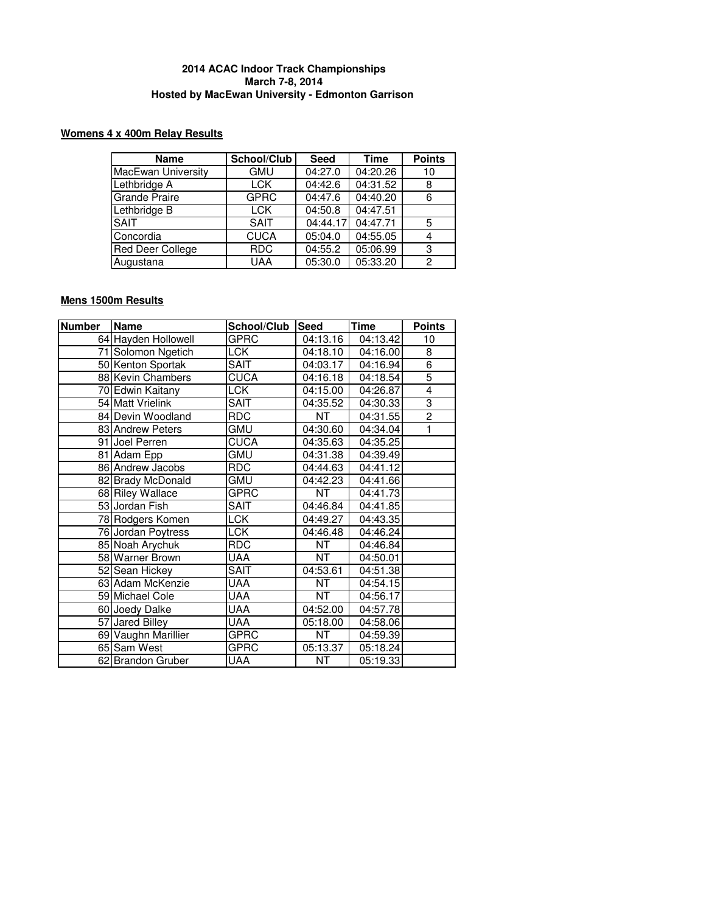## **Womens 4 x 400m Relay Results**

| <b>Name</b>               | School/Club | <b>Seed</b> | Time     | <b>Points</b> |
|---------------------------|-------------|-------------|----------|---------------|
| <b>MacEwan University</b> | <b>GMU</b>  | 04:27.0     | 04:20.26 | 10            |
| Lethbridge A              | <b>LCK</b>  | 04:42.6     | 04:31.52 | 8             |
| Grande Praire             | <b>GPRC</b> | 04:47.6     | 04:40.20 | 6             |
| Lethbridge B              | LCK         | 04:50.8     | 04:47.51 |               |
| <b>SAIT</b>               | <b>SAIT</b> | 04:44.17    | 04:47.71 | 5             |
| Concordia                 | <b>CUCA</b> | 05:04.0     | 04:55.05 |               |
| <b>Red Deer College</b>   | <b>RDC</b>  | 04:55.2     | 05:06.99 | 3             |
| Augustana                 | <b>UAA</b>  | 05:30.0     | 05:33.20 | 2             |

# **Mens 1500m Results**

| <b>Number</b> | <b>Name</b>         | School/Club | Seed                   | <b>Time</b> | <b>Points</b>  |
|---------------|---------------------|-------------|------------------------|-------------|----------------|
|               | 64 Hayden Hollowell | GPRC        | 04:13.16               | 04:13.42    | 10             |
|               | 71 Solomon Ngetich  | CCK         | 04:18.10               | 04:16.00    | 8              |
|               | 50 Kenton Sportak   | <b>SAIT</b> | 04:03.17               | 04:16.94    | $\overline{6}$ |
|               | 88 Kevin Chambers   | <b>CUCA</b> | 04:16.18               | 04:18.54    | 5              |
|               | 70 Edwin Kaitany    | <b>LCK</b>  | 04:15.00               | 04:26.87    | $\overline{4}$ |
|               | 54 Matt Vrielink    | SAIT        | 04:35.52               | 04:30.33    | 3              |
|               | 84 Devin Woodland   | <b>RDC</b>  | NT.                    | 04:31.55    | $\overline{2}$ |
|               | 83 Andrew Peters    | gmu         | 04:30.60               | 04:34.04    | 1              |
|               | 91 Joel Perren      | <b>CUCA</b> | 04:35.63               | 04:35.25    |                |
|               | 81 Adam Epp         | gmu         | 04:31.38               | 04:39.49    |                |
|               | 86 Andrew Jacobs    | <b>RDC</b>  | 04:44.63               | 04:41.12    |                |
|               | 82 Brady McDonald   | gmu         | 04:42.23               | 04:41.66    |                |
|               | 68 Riley Wallace    | <b>GPRC</b> | <b>NT</b>              | 04:41.73    |                |
|               | 53 Jordan Fish      | SAIT        | 04:46.84               | 04:41.85    |                |
|               | 78 Rodgers Komen    | <b>LCK</b>  | 04:49.27               | 04:43.35    |                |
|               | 76 Jordan Poytress  | <b>LCK</b>  | 04:46.48               | 04:46.24    |                |
|               | 85 Noah Arychuk     | <b>RDC</b>  | NT                     | 04:46.84    |                |
|               | 58 Warner Brown     | <b>UAA</b>  | <b>NT</b>              | 04:50.01    |                |
|               | 52 Sean Hickey      | <b>SAIT</b> | 04:53.61               | 04:51.38    |                |
|               | 63 Adam McKenzie    | UAA         | $\overline{\text{NT}}$ | 04:54.15    |                |
|               | 59 Michael Cole     | <b>UAA</b>  | <b>NT</b>              | 04:56.17    |                |
|               | 60 Joedy Dalke      | UAA         | 04:52.00               | 04:57.78    |                |
|               | 57 Jared Billey     | UAA         | 05:18.00               | 04:58.06    |                |
|               | 69 Vaughn Marillier | <b>GPRC</b> | NT                     | 04:59.39    |                |
|               | 65 Sam West         | GPRC        | 05:13.37               | 05:18.24    |                |
|               | 62 Brandon Gruber   | <b>UAA</b>  | <b>NT</b>              | 05:19.33    |                |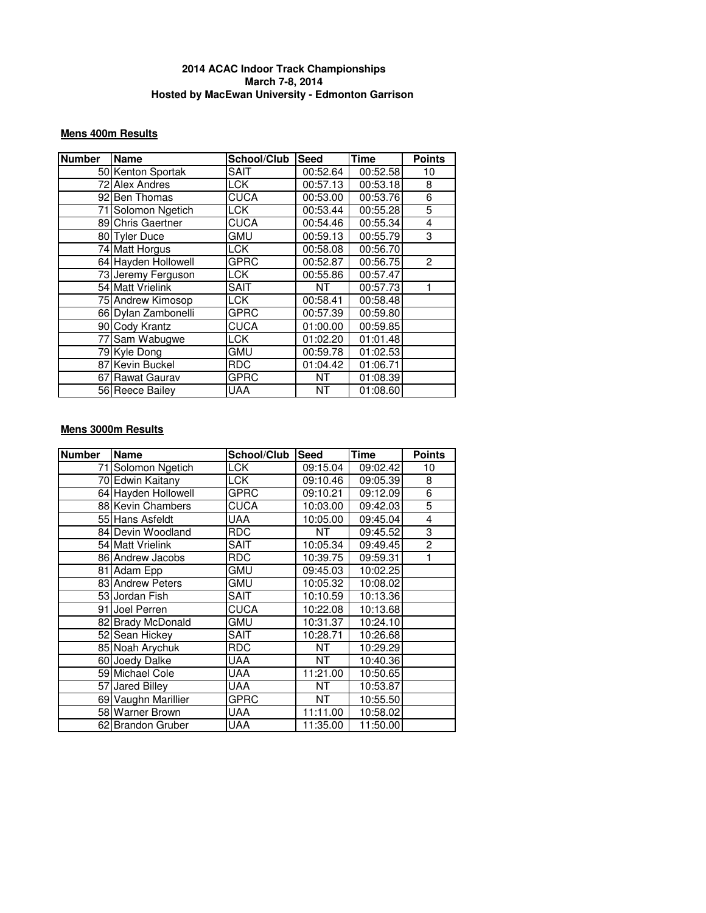## **Mens 400m Results**

| <b>Number</b> | <b>Name</b>         | School/Club | <b>Seed</b> | <b>Time</b> | <b>Points</b>  |
|---------------|---------------------|-------------|-------------|-------------|----------------|
|               | 50 Kenton Sportak   | <b>SAIT</b> | 00:52.64    | 00:52.58    | 10             |
|               | 72 Alex Andres      | <b>LCK</b>  | 00:57.13    | 00:53.18    | 8              |
|               | 92 Ben Thomas       | <b>CUCA</b> | 00:53.00    | 00:53.76    | 6              |
|               | 71 Solomon Ngetich  | <b>LCK</b>  | 00:53.44    | 00:55.28    | 5              |
|               | 89 Chris Gaertner   | <b>CUCA</b> | 00:54.46    | 00:55.34    | 4              |
|               | 80 Tyler Duce       | GMU         | 00:59.13    | 00:55.79    | 3              |
|               | 74 Matt Horgus      | <b>LCK</b>  | 00:58.08    | 00:56.70    |                |
|               | 64 Hayden Hollowell | <b>GPRC</b> | 00:52.87    | 00:56.75    | $\overline{2}$ |
|               | 73 Jeremy Ferguson  | <b>LCK</b>  | 00:55.86    | 00:57.47    |                |
|               | 54 Matt Vrielink    | <b>SAIT</b> | NΤ          | 00:57.73    |                |
|               | 75 Andrew Kimosop   | <b>LCK</b>  | 00:58.41    | 00:58.48    |                |
|               | 66 Dylan Zambonelli | <b>GPRC</b> | 00:57.39    | 00:59.80    |                |
|               | 90 Cody Krantz      | <b>CUCA</b> | 01:00.00    | 00:59.85    |                |
|               | 77 Sam Wabugwe      | <b>LCK</b>  | 01:02.20    | 01:01.48    |                |
|               | 79 Kyle Dong        | <b>GMU</b>  | 00:59.78    | 01:02.53    |                |
|               | 87 Kevin Buckel     | <b>RDC</b>  | 01:04.42    | 01:06.71    |                |
|               | 67 Rawat Gaurav     | GPRC        | ΝT          | 01:08.39    |                |
|               | 56 Reece Bailey     | <b>UAA</b>  | NT          | 01:08.60    |                |

## **Mens 3000m Results**

| <b>Number</b> | <b>Name</b>         | School/Club | <b>Seed</b> | <b>Time</b> | <b>Points</b>  |
|---------------|---------------------|-------------|-------------|-------------|----------------|
|               | 71 Solomon Ngetich  | <b>LCK</b>  | 09:15.04    | 09:02.42    | 10             |
|               | 70 Edwin Kaitany    | LCK.        | 09:10.46    | 09:05.39    | 8              |
|               | 64 Hayden Hollowell | <b>GPRC</b> | 09:10.21    | 09:12.09    | 6              |
|               | 88 Kevin Chambers   | <b>CUCA</b> | 10:03.00    | 09:42.03    | $\overline{5}$ |
|               | 55 Hans Asfeldt     | UAA         | 10:05.00    | 09:45.04    | 4              |
|               | 84 Devin Woodland   | <b>RDC</b>  | NT          | 09:45.52    | 3              |
|               | 54 Matt Vrielink    | <b>SAIT</b> | 10:05.34    | 09:49.45    | $\overline{c}$ |
|               | 86 Andrew Jacobs    | <b>RDC</b>  | 10:39.75    | 09:59.31    | 1              |
|               | 81 Adam Epp         | GMU         | 09:45.03    | 10:02.25    |                |
|               | 83 Andrew Peters    | <b>GMU</b>  | 10:05.32    | 10:08.02    |                |
|               | 53 Jordan Fish      | <b>SAIT</b> | 10:10.59    | 10:13.36    |                |
|               | 91 Joel Perren      | <b>CUCA</b> | 10:22.08    | 10:13.68    |                |
|               | 82 Brady McDonald   | <b>GMU</b>  | 10:31.37    | 10:24.10    |                |
|               | 52 Sean Hickey      | SAIT        | 10:28.71    | 10:26.68    |                |
|               | 85 Noah Arychuk     | <b>RDC</b>  | NT          | 10:29.29    |                |
|               | 60 Joedy Dalke      | UAA         | NT.         | 10:40.36    |                |
|               | 59 Michael Cole     | <b>UAA</b>  | 11:21.00    | 10:50.65    |                |
|               | 57 Jared Billey     | UAA         | NT          | 10:53.87    |                |
|               | 69 Vaughn Marillier | GPRC        | <b>NT</b>   | 10:55.50    |                |
|               | 58 Warner Brown     | <b>UAA</b>  | 11:11.00    | 10:58.02    |                |
|               | 62 Brandon Gruber   | UAA         | 11:35.00    | 11:50.00    |                |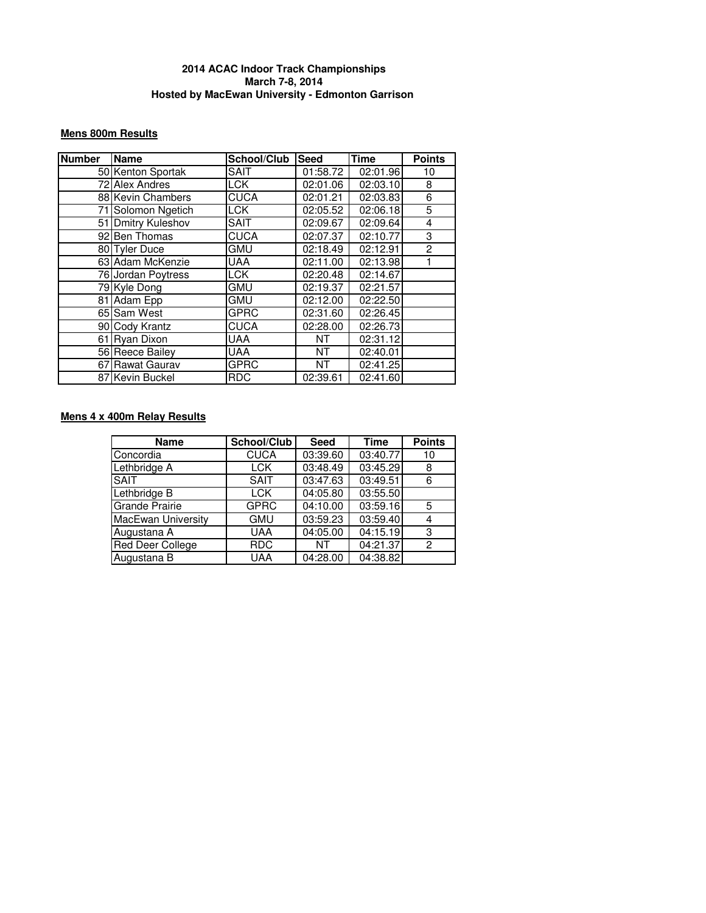## **Mens 800m Results**

| <b>Number</b> | <b>Name</b>        | School/Club | <b>Seed</b> | <b>Time</b> | <b>Points</b> |
|---------------|--------------------|-------------|-------------|-------------|---------------|
|               | 50 Kenton Sportak  | <b>SAIT</b> | 01:58.72    | 02:01.96    | 10            |
|               | 72 Alex Andres     | LCK.        | 02:01.06    | 02:03.10    | 8             |
|               | 88 Kevin Chambers  | <b>CUCA</b> | 02:01.21    | 02:03.83    | 6             |
|               | 71 Solomon Ngetich | LCK.        | 02:05.52    | 02:06.18    | 5             |
|               | 51 Dmitry Kuleshov | <b>SAIT</b> | 02:09.67    | 02:09.64    | 4             |
|               | 92 Ben Thomas      | <b>CUCA</b> | 02:07.37    | 02:10.77    | 3             |
|               | 80 Tyler Duce      | GMU         | 02:18.49    | 02:12.91    | 2             |
|               | 63 Adam McKenzie   | UAA         | 02:11.00    | 02:13.98    |               |
|               | 76 Jordan Poytress | LCK         | 02:20.48    | 02:14.67    |               |
|               | 79 Kyle Dong       | GMU         | 02:19.37    | 02:21.57    |               |
|               | 81 Adam Epp        | GMU         | 02:12.00    | 02:22.50    |               |
|               | 65 Sam West        | <b>GPRC</b> | 02:31.60    | 02:26.45    |               |
|               | 90 Cody Krantz     | <b>CUCA</b> | 02:28.00    | 02:26.73    |               |
|               | 61 Ryan Dixon      | <b>UAA</b>  | NT          | 02:31.12    |               |
|               | 56 Reece Bailey    | <b>UAA</b>  | <b>NT</b>   | 02:40.01    |               |
|               | 67 Rawat Gaurav    | GPRC        | NT          | 02:41.25    |               |
|               | 87 Kevin Buckel    | <b>RDC</b>  | 02:39.61    | 02:41.60    |               |

# **Mens 4 x 400m Relay Results**

| <b>Name</b>           | School/Club | <b>Seed</b> | <b>Time</b> | <b>Points</b> |
|-----------------------|-------------|-------------|-------------|---------------|
| Concordia             | <b>CUCA</b> | 03:39.60    | 03:40.77    | 10            |
| Lethbridge A          | <b>LCK</b>  | 03:48.49    | 03:45.29    | 8             |
| <b>SAIT</b>           | SAIT        | 03:47.63    | 03:49.51    | 6             |
| Lethbridge B          | <b>LCK</b>  | 04:05.80    | 03:55.50    |               |
| <b>Grande Prairie</b> | <b>GPRC</b> | 04:10.00    | 03:59.16    | 5             |
| MacEwan University    | <b>GMU</b>  | 03:59.23    | 03:59.40    |               |
| Augustana A           | <b>UAA</b>  | 04:05.00    | 04:15.19    | 3             |
| Red Deer College      | <b>RDC</b>  | ΝT          | 04:21.37    | 2             |
| Augustana B           | <b>UAA</b>  | 04:28.00    | 04:38.82    |               |